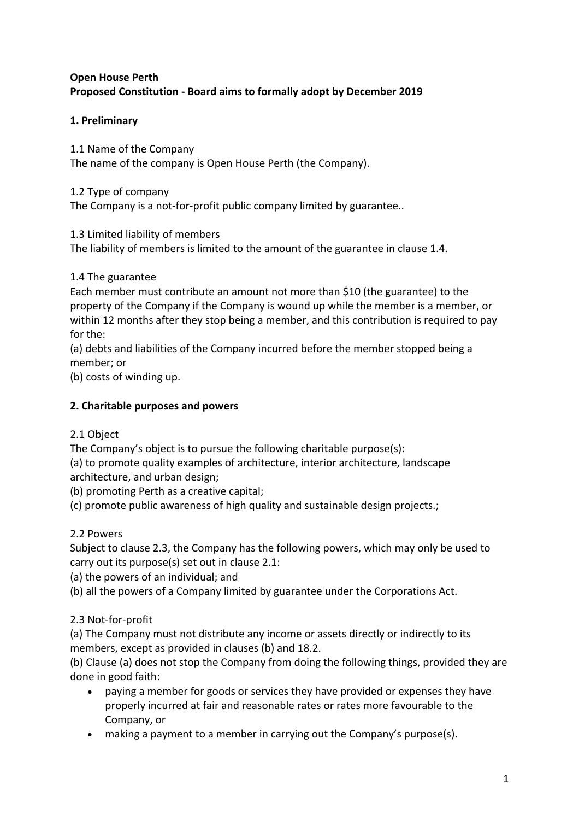## **Open House Perth Proposed Constitution - Board aims to formally adopt by December 2019**

## **1. Preliminary**

1.1 Name of the Company The name of the company is Open House Perth (the Company).

## 1.2 Type of company

The Company is a not-for-profit public company limited by guarantee..

#### 1.3 Limited liability of members

The liability of members is limited to the amount of the guarantee in clause 1.4.

#### 1.4 The guarantee

Each member must contribute an amount not more than \$10 (the guarantee) to the property of the Company if the Company is wound up while the member is a member, or within 12 months after they stop being a member, and this contribution is required to pay for the:

(a) debts and liabilities of the Company incurred before the member stopped being a member; or

(b) costs of winding up.

## **2. Charitable purposes and powers**

## 2.1 Object

The Company's object is to pursue the following charitable purpose(s):

(a) to promote quality examples of architecture, interior architecture, landscape architecture, and urban design;

(b) promoting Perth as a creative capital;

(c) promote public awareness of high quality and sustainable design projects.;

## 2.2 Powers

Subject to clause 2.3, the Company has the following powers, which may only be used to carry out its purpose(s) set out in clause 2.1:

(a) the powers of an individual; and

(b) all the powers of a Company limited by guarantee under the Corporations Act.

## 2.3 Not-for-profit

(a) The Company must not distribute any income or assets directly or indirectly to its members, except as provided in clauses (b) and 18.2.

(b) Clause (a) does not stop the Company from doing the following things, provided they are done in good faith:

- paying a member for goods or services they have provided or expenses they have properly incurred at fair and reasonable rates or rates more favourable to the Company, or
- making a payment to a member in carrying out the Company's purpose(s).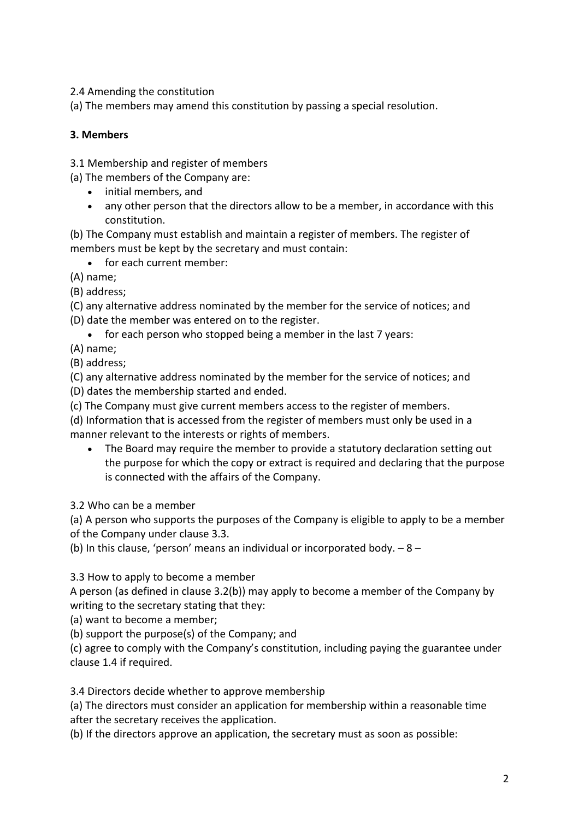2.4 Amending the constitution

(a) The members may amend this constitution by passing a special resolution.

#### **3. Members**

3.1 Membership and register of members

(a) The members of the Company are:

- initial members, and
- any other person that the directors allow to be a member, in accordance with this constitution.

(b) The Company must establish and maintain a register of members. The register of members must be kept by the secretary and must contain:

• for each current member:

(A) name;

(B) address;

(C) any alternative address nominated by the member for the service of notices; and

(D) date the member was entered on to the register.

• for each person who stopped being a member in the last 7 years:

(A) name;

(B) address;

(C) any alternative address nominated by the member for the service of notices; and (D) dates the membership started and ended.

(c) The Company must give current members access to the register of members.

(d) Information that is accessed from the register of members must only be used in a manner relevant to the interests or rights of members.

• The Board may require the member to provide a statutory declaration setting out the purpose for which the copy or extract is required and declaring that the purpose is connected with the affairs of the Company.

3.2 Who can be a member

(a) A person who supports the purposes of the Company is eligible to apply to be a member of the Company under clause 3.3.

(b) In this clause, 'person' means an individual or incorporated body.  $-8 -$ 

3.3 How to apply to become a member

A person (as defined in clause 3.2(b)) may apply to become a member of the Company by writing to the secretary stating that they:

(a) want to become a member;

(b) support the purpose(s) of the Company; and

(c) agree to comply with the Company's constitution, including paying the guarantee under clause 1.4 if required.

3.4 Directors decide whether to approve membership

(a) The directors must consider an application for membership within a reasonable time after the secretary receives the application.

(b) If the directors approve an application, the secretary must as soon as possible: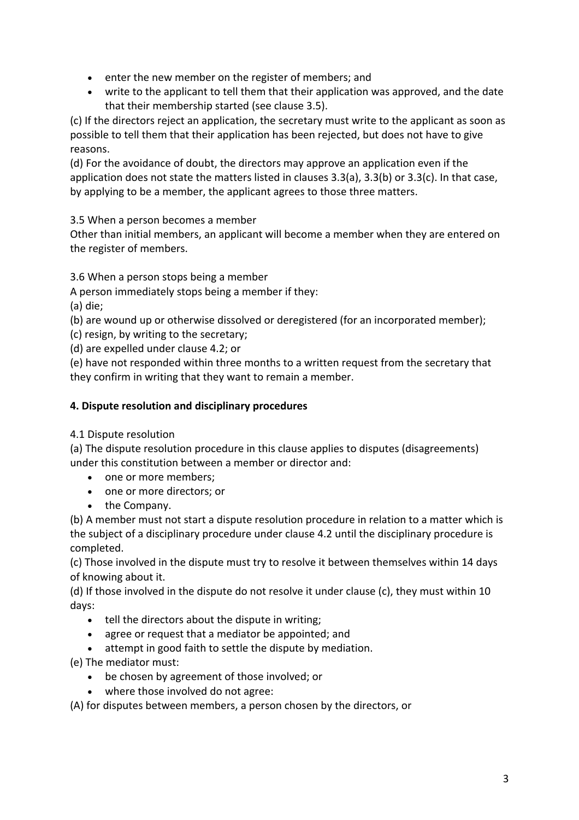- enter the new member on the register of members; and
- write to the applicant to tell them that their application was approved, and the date that their membership started (see clause 3.5).

(c) If the directors reject an application, the secretary must write to the applicant as soon as possible to tell them that their application has been rejected, but does not have to give reasons.

(d) For the avoidance of doubt, the directors may approve an application even if the application does not state the matters listed in clauses 3.3(a), 3.3(b) or 3.3(c). In that case, by applying to be a member, the applicant agrees to those three matters.

3.5 When a person becomes a member

Other than initial members, an applicant will become a member when they are entered on the register of members.

3.6 When a person stops being a member

A person immediately stops being a member if they:

(a) die;

(b) are wound up or otherwise dissolved or deregistered (for an incorporated member);

(c) resign, by writing to the secretary;

(d) are expelled under clause 4.2; or

(e) have not responded within three months to a written request from the secretary that they confirm in writing that they want to remain a member.

#### **4. Dispute resolution and disciplinary procedures**

#### 4.1 Dispute resolution

(a) The dispute resolution procedure in this clause applies to disputes (disagreements) under this constitution between a member or director and:

- one or more members;
- one or more directors; or
- the Company.

(b) A member must not start a dispute resolution procedure in relation to a matter which is the subject of a disciplinary procedure under clause 4.2 until the disciplinary procedure is completed.

(c) Those involved in the dispute must try to resolve it between themselves within 14 days of knowing about it.

(d) If those involved in the dispute do not resolve it under clause (c), they must within 10 days:

- tell the directors about the dispute in writing;
- agree or request that a mediator be appointed; and
- attempt in good faith to settle the dispute by mediation.

(e) The mediator must:

- be chosen by agreement of those involved; or
- where those involved do not agree:

(A) for disputes between members, a person chosen by the directors, or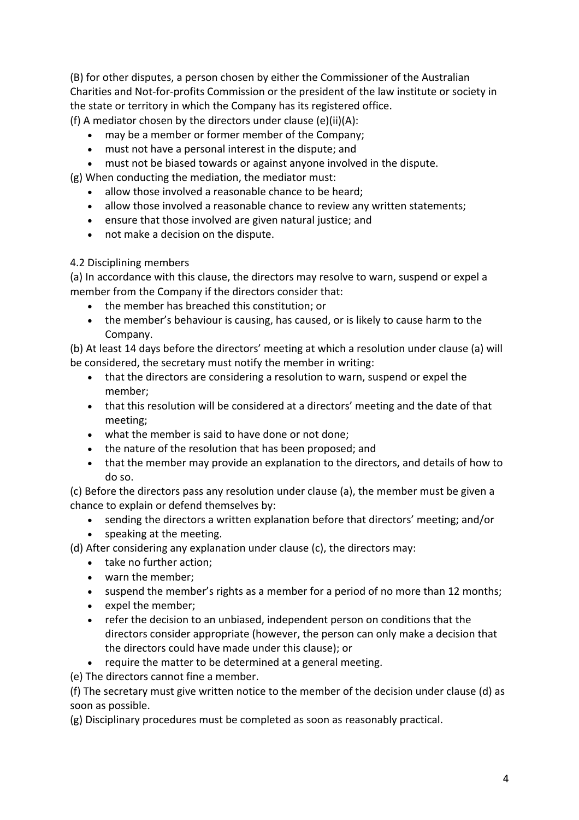(B) for other disputes, a person chosen by either the Commissioner of the Australian Charities and Not-for-profits Commission or the president of the law institute or society in the state or territory in which the Company has its registered office.

(f) A mediator chosen by the directors under clause  $(e)(ii)(A)$ :

- may be a member or former member of the Company;
- must not have a personal interest in the dispute; and
- must not be biased towards or against anyone involved in the dispute.

(g) When conducting the mediation, the mediator must:

- allow those involved a reasonable chance to be heard;
- allow those involved a reasonable chance to review any written statements;
- ensure that those involved are given natural justice; and
- not make a decision on the dispute.

## 4.2 Disciplining members

(a) In accordance with this clause, the directors may resolve to warn, suspend or expel a member from the Company if the directors consider that:

- the member has breached this constitution; or
- the member's behaviour is causing, has caused, or is likely to cause harm to the Company.

(b) At least 14 days before the directors' meeting at which a resolution under clause (a) will be considered, the secretary must notify the member in writing:

- that the directors are considering a resolution to warn, suspend or expel the member;
- that this resolution will be considered at a directors' meeting and the date of that meeting;
- what the member is said to have done or not done;
- the nature of the resolution that has been proposed; and
- that the member may provide an explanation to the directors, and details of how to do so.

(c) Before the directors pass any resolution under clause (a), the member must be given a chance to explain or defend themselves by:

- sending the directors a written explanation before that directors' meeting; and/or
- speaking at the meeting.
- (d) After considering any explanation under clause (c), the directors may:
	- take no further action;
	- warn the member;
	- suspend the member's rights as a member for a period of no more than 12 months;
	- expel the member;
	- refer the decision to an unbiased, independent person on conditions that the directors consider appropriate (however, the person can only make a decision that the directors could have made under this clause); or
	- require the matter to be determined at a general meeting.

(e) The directors cannot fine a member.

(f) The secretary must give written notice to the member of the decision under clause (d) as soon as possible.

(g) Disciplinary procedures must be completed as soon as reasonably practical.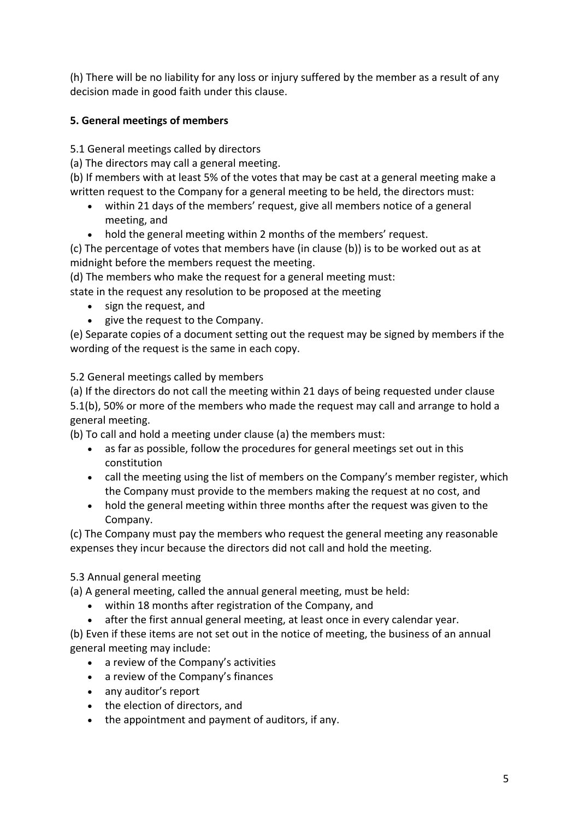(h) There will be no liability for any loss or injury suffered by the member as a result of any decision made in good faith under this clause.

## **5. General meetings of members**

5.1 General meetings called by directors

(a) The directors may call a general meeting.

(b) If members with at least 5% of the votes that may be cast at a general meeting make a written request to the Company for a general meeting to be held, the directors must:

- within 21 days of the members' request, give all members notice of a general meeting, and
- hold the general meeting within 2 months of the members' request.

(c) The percentage of votes that members have (in clause (b)) is to be worked out as at midnight before the members request the meeting.

(d) The members who make the request for a general meeting must:

state in the request any resolution to be proposed at the meeting

- sign the request, and
- give the request to the Company.

(e) Separate copies of a document setting out the request may be signed by members if the wording of the request is the same in each copy.

5.2 General meetings called by members

(a) If the directors do not call the meeting within 21 days of being requested under clause 5.1(b), 50% or more of the members who made the request may call and arrange to hold a general meeting.

(b) To call and hold a meeting under clause (a) the members must:

- as far as possible, follow the procedures for general meetings set out in this constitution
- call the meeting using the list of members on the Company's member register, which the Company must provide to the members making the request at no cost, and
- hold the general meeting within three months after the request was given to the Company.

(c) The Company must pay the members who request the general meeting any reasonable expenses they incur because the directors did not call and hold the meeting.

## 5.3 Annual general meeting

(a) A general meeting, called the annual general meeting, must be held:

- within 18 months after registration of the Company, and
- after the first annual general meeting, at least once in every calendar year.

(b) Even if these items are not set out in the notice of meeting, the business of an annual general meeting may include:

- a review of the Company's activities
- a review of the Company's finances
- any auditor's report
- the election of directors, and
- the appointment and payment of auditors, if any.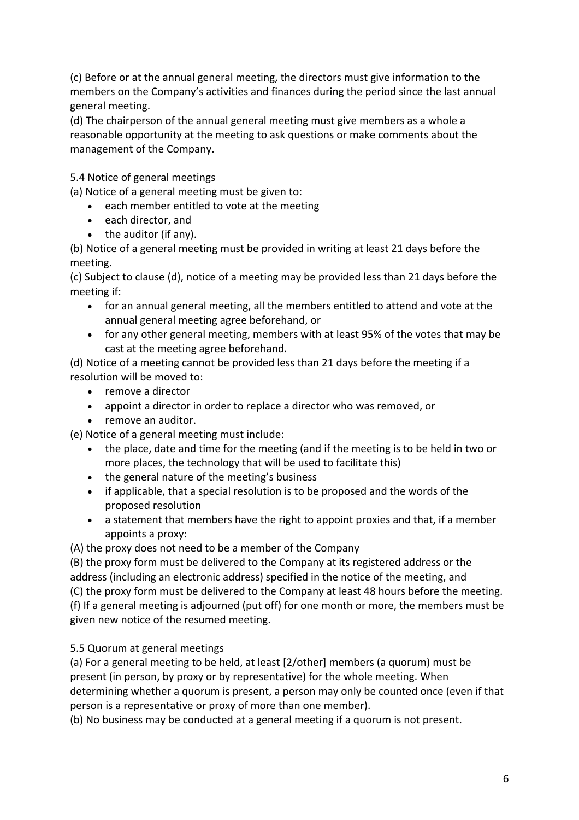(c) Before or at the annual general meeting, the directors must give information to the members on the Company's activities and finances during the period since the last annual general meeting.

(d) The chairperson of the annual general meeting must give members as a whole a reasonable opportunity at the meeting to ask questions or make comments about the management of the Company.

5.4 Notice of general meetings

(a) Notice of a general meeting must be given to:

- each member entitled to vote at the meeting
- each director, and
- the auditor (if any).

(b) Notice of a general meeting must be provided in writing at least 21 days before the meeting.

(c) Subject to clause (d), notice of a meeting may be provided less than 21 days before the meeting if:

- for an annual general meeting, all the members entitled to attend and vote at the annual general meeting agree beforehand, or
- for any other general meeting, members with at least 95% of the votes that may be cast at the meeting agree beforehand.

(d) Notice of a meeting cannot be provided less than 21 days before the meeting if a resolution will be moved to:

- remove a director
- appoint a director in order to replace a director who was removed, or
- remove an auditor.

(e) Notice of a general meeting must include:

- the place, date and time for the meeting (and if the meeting is to be held in two or more places, the technology that will be used to facilitate this)
- the general nature of the meeting's business
- if applicable, that a special resolution is to be proposed and the words of the proposed resolution
- a statement that members have the right to appoint proxies and that, if a member appoints a proxy:

(A) the proxy does not need to be a member of the Company

(B) the proxy form must be delivered to the Company at its registered address or the address (including an electronic address) specified in the notice of the meeting, and (C) the proxy form must be delivered to the Company at least 48 hours before the meeting. (f) If a general meeting is adjourned (put off) for one month or more, the members must be given new notice of the resumed meeting.

5.5 Quorum at general meetings

(a) For a general meeting to be held, at least [2/other] members (a quorum) must be present (in person, by proxy or by representative) for the whole meeting. When determining whether a quorum is present, a person may only be counted once (even if that person is a representative or proxy of more than one member).

(b) No business may be conducted at a general meeting if a quorum is not present.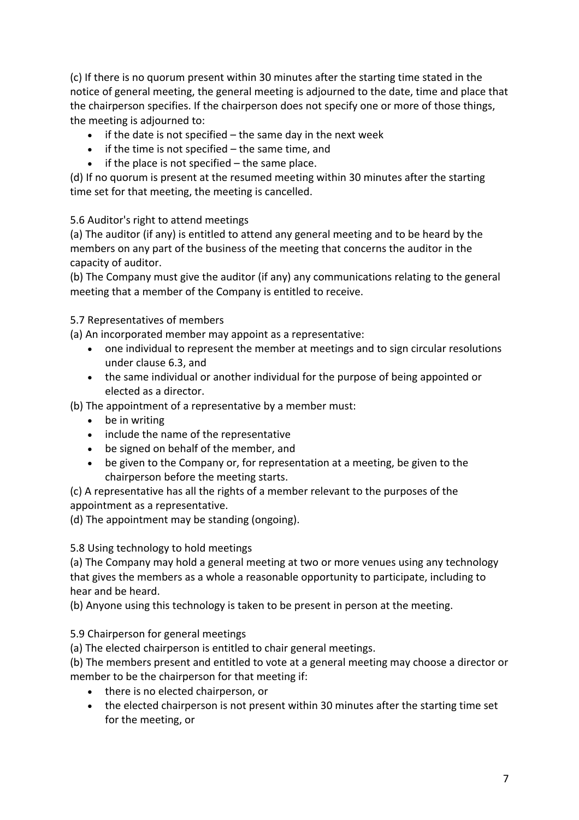(c) If there is no quorum present within 30 minutes after the starting time stated in the notice of general meeting, the general meeting is adjourned to the date, time and place that the chairperson specifies. If the chairperson does not specify one or more of those things, the meeting is adjourned to:

- if the date is not specified the same day in the next week
- if the time is not specified the same time, and
- $\bullet$  if the place is not specified the same place.

(d) If no quorum is present at the resumed meeting within 30 minutes after the starting time set for that meeting, the meeting is cancelled.

5.6 Auditor's right to attend meetings

(a) The auditor (if any) is entitled to attend any general meeting and to be heard by the members on any part of the business of the meeting that concerns the auditor in the capacity of auditor.

(b) The Company must give the auditor (if any) any communications relating to the general meeting that a member of the Company is entitled to receive.

5.7 Representatives of members

(a) An incorporated member may appoint as a representative:

- one individual to represent the member at meetings and to sign circular resolutions under clause 6.3, and
- the same individual or another individual for the purpose of being appointed or elected as a director.

(b) The appointment of a representative by a member must:

- be in writing
- include the name of the representative
- be signed on behalf of the member, and
- be given to the Company or, for representation at a meeting, be given to the chairperson before the meeting starts.

(c) A representative has all the rights of a member relevant to the purposes of the appointment as a representative.

(d) The appointment may be standing (ongoing).

5.8 Using technology to hold meetings

(a) The Company may hold a general meeting at two or more venues using any technology that gives the members as a whole a reasonable opportunity to participate, including to hear and be heard.

(b) Anyone using this technology is taken to be present in person at the meeting.

5.9 Chairperson for general meetings

(a) The elected chairperson is entitled to chair general meetings.

(b) The members present and entitled to vote at a general meeting may choose a director or member to be the chairperson for that meeting if:

- there is no elected chairperson, or
- the elected chairperson is not present within 30 minutes after the starting time set for the meeting, or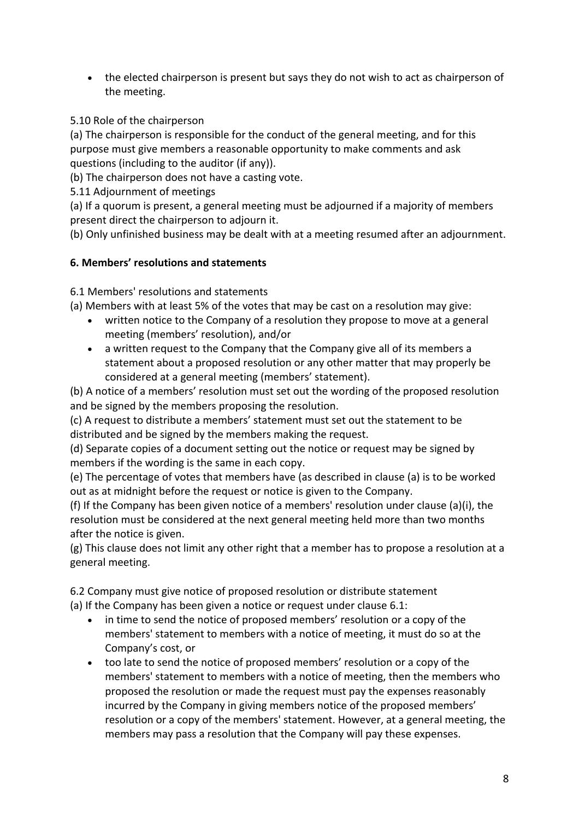• the elected chairperson is present but says they do not wish to act as chairperson of the meeting.

5.10 Role of the chairperson

(a) The chairperson is responsible for the conduct of the general meeting, and for this purpose must give members a reasonable opportunity to make comments and ask questions (including to the auditor (if any)).

(b) The chairperson does not have a casting vote.

5.11 Adjournment of meetings

(a) If a quorum is present, a general meeting must be adjourned if a majority of members present direct the chairperson to adjourn it.

(b) Only unfinished business may be dealt with at a meeting resumed after an adjournment.

#### **6. Members' resolutions and statements**

6.1 Members' resolutions and statements

(a) Members with at least 5% of the votes that may be cast on a resolution may give:

- written notice to the Company of a resolution they propose to move at a general meeting (members' resolution), and/or
- a written request to the Company that the Company give all of its members a statement about a proposed resolution or any other matter that may properly be considered at a general meeting (members' statement).

(b) A notice of a members' resolution must set out the wording of the proposed resolution and be signed by the members proposing the resolution.

(c) A request to distribute a members' statement must set out the statement to be distributed and be signed by the members making the request.

(d) Separate copies of a document setting out the notice or request may be signed by members if the wording is the same in each copy.

(e) The percentage of votes that members have (as described in clause (a) is to be worked out as at midnight before the request or notice is given to the Company.

(f) If the Company has been given notice of a members' resolution under clause (a)(i), the resolution must be considered at the next general meeting held more than two months after the notice is given.

(g) This clause does not limit any other right that a member has to propose a resolution at a general meeting.

6.2 Company must give notice of proposed resolution or distribute statement (a) If the Company has been given a notice or request under clause 6.1:

- in time to send the notice of proposed members' resolution or a copy of the members' statement to members with a notice of meeting, it must do so at the Company's cost, or
- too late to send the notice of proposed members' resolution or a copy of the members' statement to members with a notice of meeting, then the members who proposed the resolution or made the request must pay the expenses reasonably incurred by the Company in giving members notice of the proposed members' resolution or a copy of the members' statement. However, at a general meeting, the members may pass a resolution that the Company will pay these expenses.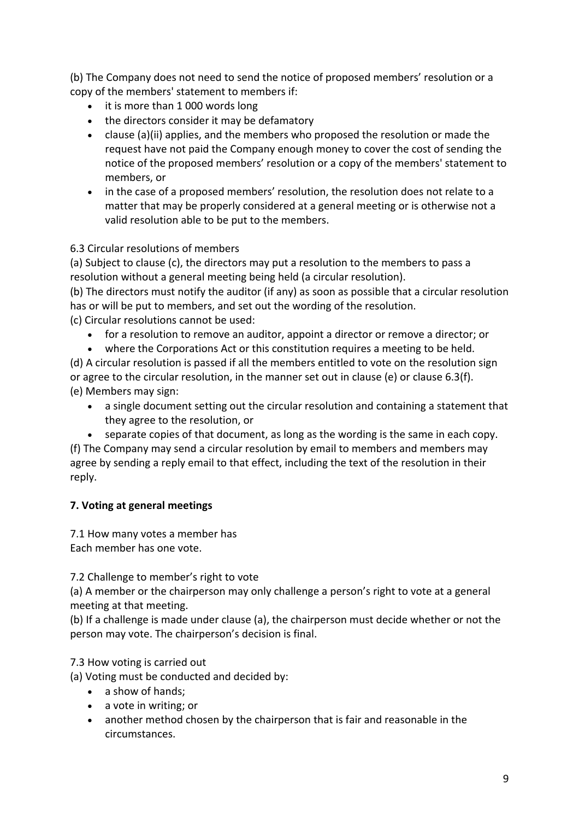(b) The Company does not need to send the notice of proposed members' resolution or a copy of the members' statement to members if:

- it is more than 1 000 words long
- the directors consider it may be defamatory
- clause (a)(ii) applies, and the members who proposed the resolution or made the request have not paid the Company enough money to cover the cost of sending the notice of the proposed members' resolution or a copy of the members' statement to members, or
- in the case of a proposed members' resolution, the resolution does not relate to a matter that may be properly considered at a general meeting or is otherwise not a valid resolution able to be put to the members.

## 6.3 Circular resolutions of members

(a) Subject to clause (c), the directors may put a resolution to the members to pass a resolution without a general meeting being held (a circular resolution).

(b) The directors must notify the auditor (if any) as soon as possible that a circular resolution has or will be put to members, and set out the wording of the resolution.

(c) Circular resolutions cannot be used:

- for a resolution to remove an auditor, appoint a director or remove a director; or
- where the Corporations Act or this constitution requires a meeting to be held.

(d) A circular resolution is passed if all the members entitled to vote on the resolution sign or agree to the circular resolution, in the manner set out in clause (e) or clause 6.3(f). (e) Members may sign:

- a single document setting out the circular resolution and containing a statement that they agree to the resolution, or
- separate copies of that document, as long as the wording is the same in each copy.

(f) The Company may send a circular resolution by email to members and members may agree by sending a reply email to that effect, including the text of the resolution in their reply.

## **7. Voting at general meetings**

7.1 How many votes a member has Each member has one vote.

7.2 Challenge to member's right to vote

(a) A member or the chairperson may only challenge a person's right to vote at a general meeting at that meeting.

(b) If a challenge is made under clause (a), the chairperson must decide whether or not the person may vote. The chairperson's decision is final.

## 7.3 How voting is carried out

(a) Voting must be conducted and decided by:

- a show of hands;
- a vote in writing; or
- another method chosen by the chairperson that is fair and reasonable in the circumstances.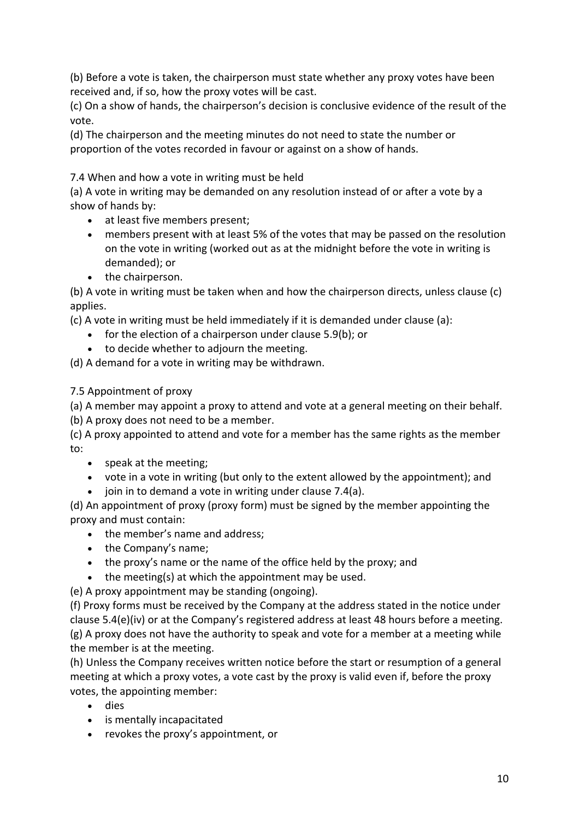(b) Before a vote is taken, the chairperson must state whether any proxy votes have been received and, if so, how the proxy votes will be cast.

(c) On a show of hands, the chairperson's decision is conclusive evidence of the result of the vote.

(d) The chairperson and the meeting minutes do not need to state the number or proportion of the votes recorded in favour or against on a show of hands.

### 7.4 When and how a vote in writing must be held

(a) A vote in writing may be demanded on any resolution instead of or after a vote by a show of hands by:

- at least five members present;
- members present with at least 5% of the votes that may be passed on the resolution on the vote in writing (worked out as at the midnight before the vote in writing is demanded); or
- the chairperson.

(b) A vote in writing must be taken when and how the chairperson directs, unless clause (c) applies.

(c) A vote in writing must be held immediately if it is demanded under clause (a):

- for the election of a chairperson under clause 5.9(b); or
- to decide whether to adjourn the meeting.

(d) A demand for a vote in writing may be withdrawn.

#### 7.5 Appointment of proxy

(a) A member may appoint a proxy to attend and vote at a general meeting on their behalf.

(b) A proxy does not need to be a member.

(c) A proxy appointed to attend and vote for a member has the same rights as the member to:

- speak at the meeting;
- vote in a vote in writing (but only to the extent allowed by the appointment); and
- join in to demand a vote in writing under clause 7.4(a).

(d) An appointment of proxy (proxy form) must be signed by the member appointing the proxy and must contain:

- the member's name and address;
- the Company's name;
- the proxy's name or the name of the office held by the proxy; and
- the meeting(s) at which the appointment may be used.

(e) A proxy appointment may be standing (ongoing).

(f) Proxy forms must be received by the Company at the address stated in the notice under clause 5.4(e)(iv) or at the Company's registered address at least 48 hours before a meeting. (g) A proxy does not have the authority to speak and vote for a member at a meeting while the member is at the meeting.

(h) Unless the Company receives written notice before the start or resumption of a general meeting at which a proxy votes, a vote cast by the proxy is valid even if, before the proxy votes, the appointing member:

- dies
- is mentally incapacitated
- revokes the proxy's appointment, or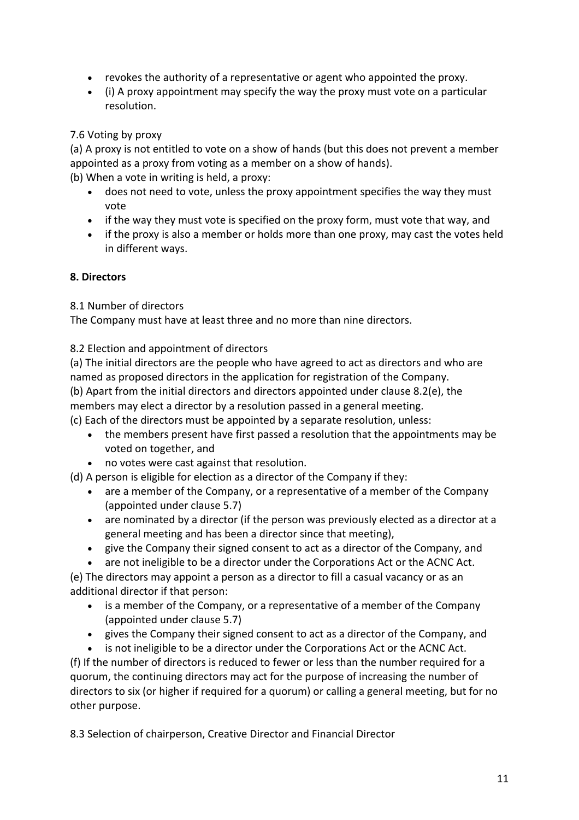- revokes the authority of a representative or agent who appointed the proxy.
- (i) A proxy appointment may specify the way the proxy must vote on a particular resolution.

#### 7.6 Voting by proxy

(a) A proxy is not entitled to vote on a show of hands (but this does not prevent a member appointed as a proxy from voting as a member on a show of hands).

(b) When a vote in writing is held, a proxy:

- does not need to vote, unless the proxy appointment specifies the way they must vote
- if the way they must vote is specified on the proxy form, must vote that way, and
- if the proxy is also a member or holds more than one proxy, may cast the votes held in different ways.

#### **8. Directors**

8.1 Number of directors

The Company must have at least three and no more than nine directors.

8.2 Election and appointment of directors

(a) The initial directors are the people who have agreed to act as directors and who are named as proposed directors in the application for registration of the Company.

(b) Apart from the initial directors and directors appointed under clause 8.2(e), the

members may elect a director by a resolution passed in a general meeting.

(c) Each of the directors must be appointed by a separate resolution, unless:

- the members present have first passed a resolution that the appointments may be voted on together, and
- no votes were cast against that resolution.

(d) A person is eligible for election as a director of the Company if they:

- are a member of the Company, or a representative of a member of the Company (appointed under clause 5.7)
- are nominated by a director (if the person was previously elected as a director at a general meeting and has been a director since that meeting),
- give the Company their signed consent to act as a director of the Company, and
- are not ineligible to be a director under the Corporations Act or the ACNC Act.

(e) The directors may appoint a person as a director to fill a casual vacancy or as an additional director if that person:

- is a member of the Company, or a representative of a member of the Company (appointed under clause 5.7)
- gives the Company their signed consent to act as a director of the Company, and

• is not ineligible to be a director under the Corporations Act or the ACNC Act. (f) If the number of directors is reduced to fewer or less than the number required for a quorum, the continuing directors may act for the purpose of increasing the number of directors to six (or higher if required for a quorum) or calling a general meeting, but for no other purpose.

8.3 Selection of chairperson, Creative Director and Financial Director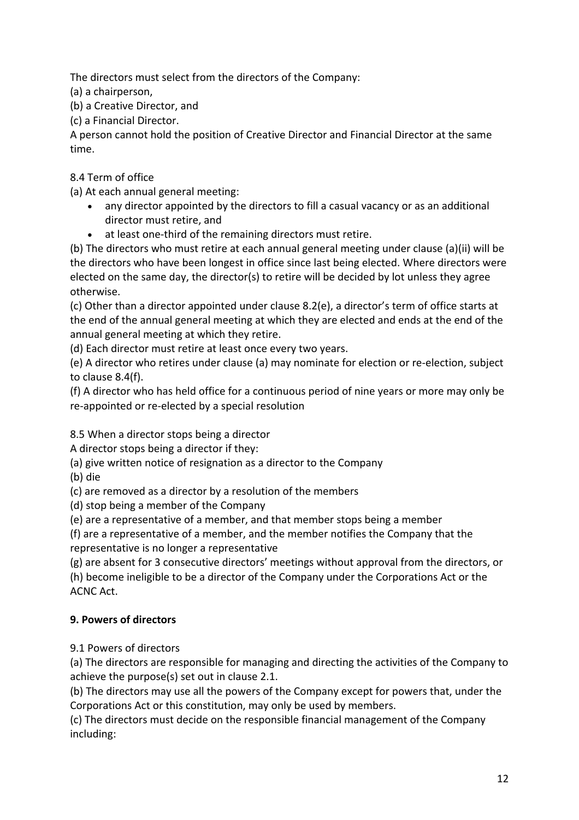The directors must select from the directors of the Company:

(a) a chairperson,

(b) a Creative Director, and

(c) a Financial Director.

A person cannot hold the position of Creative Director and Financial Director at the same time.

8.4 Term of office

(a) At each annual general meeting:

- any director appointed by the directors to fill a casual vacancy or as an additional director must retire, and
- at least one-third of the remaining directors must retire.

(b) The directors who must retire at each annual general meeting under clause (a)(ii) will be the directors who have been longest in office since last being elected. Where directors were elected on the same day, the director(s) to retire will be decided by lot unless they agree otherwise.

(c) Other than a director appointed under clause 8.2(e), a director's term of office starts at the end of the annual general meeting at which they are elected and ends at the end of the annual general meeting at which they retire.

(d) Each director must retire at least once every two years.

(e) A director who retires under clause (a) may nominate for election or re-election, subject to clause 8.4(f).

(f) A director who has held office for a continuous period of nine years or more may only be re-appointed or re-elected by a special resolution

8.5 When a director stops being a director

A director stops being a director if they:

(a) give written notice of resignation as a director to the Company

(b) die

(c) are removed as a director by a resolution of the members

(d) stop being a member of the Company

(e) are a representative of a member, and that member stops being a member

(f) are a representative of a member, and the member notifies the Company that the representative is no longer a representative

(g) are absent for 3 consecutive directors' meetings without approval from the directors, or

(h) become ineligible to be a director of the Company under the Corporations Act or the ACNC Act.

# **9. Powers of directors**

9.1 Powers of directors

(a) The directors are responsible for managing and directing the activities of the Company to achieve the purpose(s) set out in clause 2.1.

(b) The directors may use all the powers of the Company except for powers that, under the Corporations Act or this constitution, may only be used by members.

(c) The directors must decide on the responsible financial management of the Company including: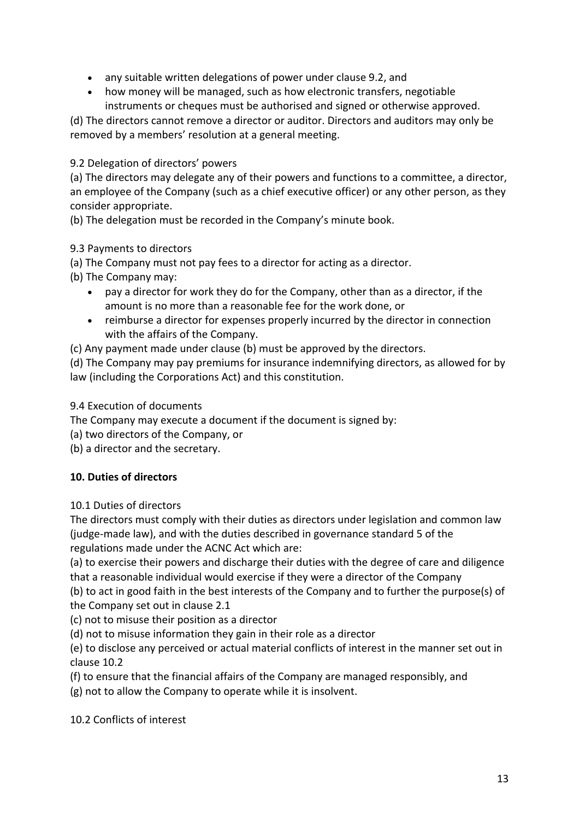- any suitable written delegations of power under clause 9.2, and
- how money will be managed, such as how electronic transfers, negotiable instruments or cheques must be authorised and signed or otherwise approved.

(d) The directors cannot remove a director or auditor. Directors and auditors may only be removed by a members' resolution at a general meeting.

9.2 Delegation of directors' powers

(a) The directors may delegate any of their powers and functions to a committee, a director, an employee of the Company (such as a chief executive officer) or any other person, as they consider appropriate.

(b) The delegation must be recorded in the Company's minute book.

9.3 Payments to directors

(a) The Company must not pay fees to a director for acting as a director.

- (b) The Company may:
	- pay a director for work they do for the Company, other than as a director, if the amount is no more than a reasonable fee for the work done, or
	- reimburse a director for expenses properly incurred by the director in connection with the affairs of the Company.
- (c) Any payment made under clause (b) must be approved by the directors.

(d) The Company may pay premiums for insurance indemnifying directors, as allowed for by law (including the Corporations Act) and this constitution.

#### 9.4 Execution of documents

The Company may execute a document if the document is signed by:

(a) two directors of the Company, or

(b) a director and the secretary.

#### **10. Duties of directors**

#### 10.1 Duties of directors

The directors must comply with their duties as directors under legislation and common law (judge-made law), and with the duties described in governance standard 5 of the regulations made under the ACNC Act which are:

(a) to exercise their powers and discharge their duties with the degree of care and diligence that a reasonable individual would exercise if they were a director of the Company

(b) to act in good faith in the best interests of the Company and to further the purpose(s) of the Company set out in clause 2.1

(c) not to misuse their position as a director

(d) not to misuse information they gain in their role as a director

(e) to disclose any perceived or actual material conflicts of interest in the manner set out in clause 10.2

(f) to ensure that the financial affairs of the Company are managed responsibly, and

(g) not to allow the Company to operate while it is insolvent.

10.2 Conflicts of interest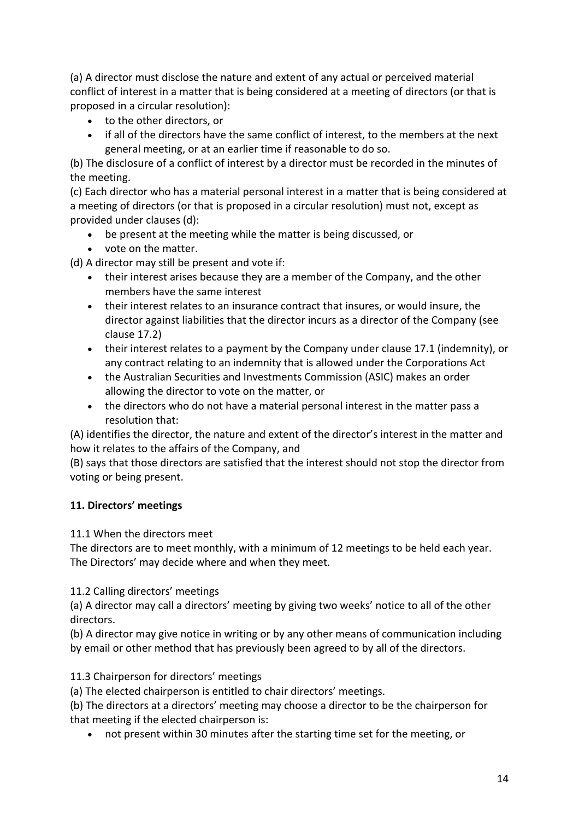(a) A director must disclose the nature and extent of any actual or perceived material conflict of interest in a matter that is being considered at a meeting of directors (or that is proposed in a circular resolution):

- to the other directors, or
- if all of the directors have the same conflict of interest, to the members at the next general meeting, or at an earlier time if reasonable to do so.

(b) The disclosure of a conflict of interest by a director must be recorded in the minutes of the meeting.

(c) Each director who has a material personal interest in a matter that is being considered at a meeting of directors (or that is proposed in a circular resolution) must not, except as provided under clauses (d):

- be present at the meeting while the matter is being discussed, or
- vote on the matter.

(d) A director may still be present and vote if:

- their interest arises because they are a member of the Company, and the other members have the same interest
- their interest relates to an insurance contract that insures, or would insure, the director against liabilities that the director incurs as a director of the Company (see clause 17.2)
- their interest relates to a payment by the Company under clause 17.1 (indemnity), or any contract relating to an indemnity that is allowed under the Corporations Act
- the Australian Securities and Investments Commission (ASIC) makes an order allowing the director to vote on the matter, or
- the directors who do not have a material personal interest in the matter pass a resolution that:

(A) identifies the director, the nature and extent of the director's interest in the matter and how it relates to the affairs of the Company, and

(B) says that those directors are satisfied that the interest should not stop the director from voting or being present.

# **11. Directors' meetings**

11.1 When the directors meet

The directors are to meet monthly, with a minimum of 12 meetings to be held each year. The Directors' may decide where and when they meet.

11.2 Calling directors' meetings

(a) A director may call a directors' meeting by giving two weeks' notice to all of the other directors.

(b) A director may give notice in writing or by any other means of communication including by email or other method that has previously been agreed to by all of the directors.

11.3 Chairperson for directors' meetings

(a) The elected chairperson is entitled to chair directors' meetings.

(b) The directors at a directors' meeting may choose a director to be the chairperson for that meeting if the elected chairperson is:

• not present within 30 minutes after the starting time set for the meeting, or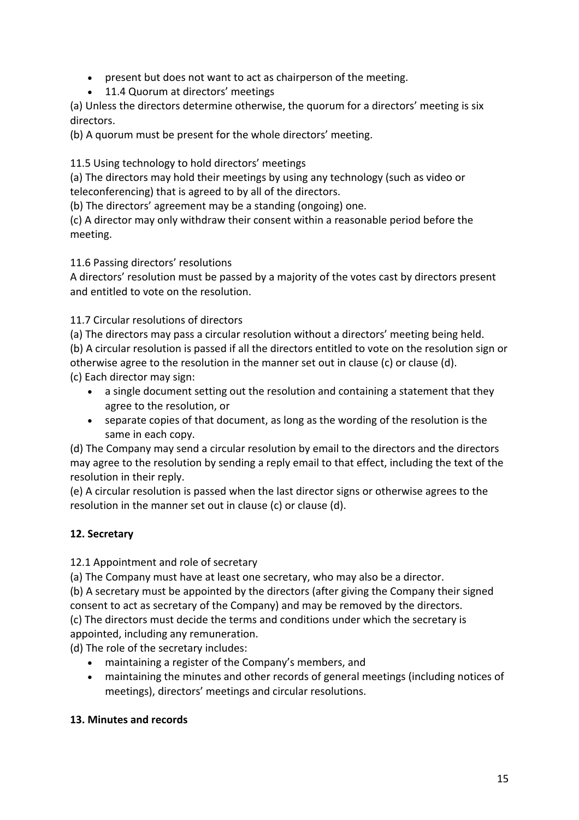- present but does not want to act as chairperson of the meeting.
- 11.4 Quorum at directors' meetings

(a) Unless the directors determine otherwise, the quorum for a directors' meeting is six directors.

(b) A quorum must be present for the whole directors' meeting.

11.5 Using technology to hold directors' meetings

(a) The directors may hold their meetings by using any technology (such as video or teleconferencing) that is agreed to by all of the directors.

(b) The directors' agreement may be a standing (ongoing) one.

(c) A director may only withdraw their consent within a reasonable period before the meeting.

11.6 Passing directors' resolutions

A directors' resolution must be passed by a majority of the votes cast by directors present and entitled to vote on the resolution.

11.7 Circular resolutions of directors

(a) The directors may pass a circular resolution without a directors' meeting being held. (b) A circular resolution is passed if all the directors entitled to vote on the resolution sign or otherwise agree to the resolution in the manner set out in clause (c) or clause (d).

(c) Each director may sign:

- a single document setting out the resolution and containing a statement that they agree to the resolution, or
- separate copies of that document, as long as the wording of the resolution is the same in each copy.

(d) The Company may send a circular resolution by email to the directors and the directors may agree to the resolution by sending a reply email to that effect, including the text of the resolution in their reply.

(e) A circular resolution is passed when the last director signs or otherwise agrees to the resolution in the manner set out in clause (c) or clause (d).

# **12. Secretary**

12.1 Appointment and role of secretary

(a) The Company must have at least one secretary, who may also be a director.

(b) A secretary must be appointed by the directors (after giving the Company their signed consent to act as secretary of the Company) and may be removed by the directors.

(c) The directors must decide the terms and conditions under which the secretary is appointed, including any remuneration.

(d) The role of the secretary includes:

- maintaining a register of the Company's members, and
- maintaining the minutes and other records of general meetings (including notices of meetings), directors' meetings and circular resolutions.

# **13. Minutes and records**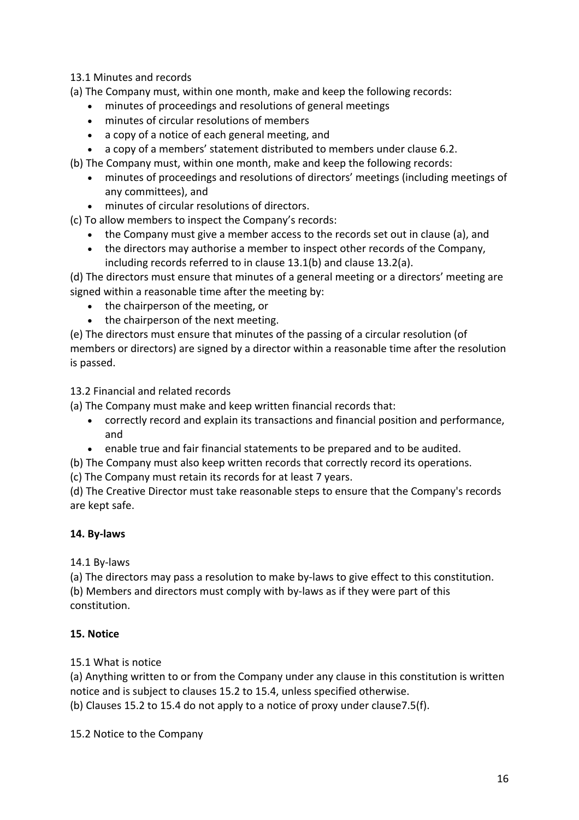13.1 Minutes and records

(a) The Company must, within one month, make and keep the following records:

- minutes of proceedings and resolutions of general meetings
- minutes of circular resolutions of members
- a copy of a notice of each general meeting, and
- a copy of a members' statement distributed to members under clause 6.2.
- (b) The Company must, within one month, make and keep the following records:
	- minutes of proceedings and resolutions of directors' meetings (including meetings of any committees), and
	- minutes of circular resolutions of directors.
- (c) To allow members to inspect the Company's records:
	- the Company must give a member access to the records set out in clause (a), and
	- the directors may authorise a member to inspect other records of the Company, including records referred to in clause 13.1(b) and clause 13.2(a).

(d) The directors must ensure that minutes of a general meeting or a directors' meeting are signed within a reasonable time after the meeting by:

- the chairperson of the meeting, or
- the chairperson of the next meeting.

(e) The directors must ensure that minutes of the passing of a circular resolution (of members or directors) are signed by a director within a reasonable time after the resolution is passed.

13.2 Financial and related records

- (a) The Company must make and keep written financial records that:
	- correctly record and explain its transactions and financial position and performance, and
	- enable true and fair financial statements to be prepared and to be audited.
- (b) The Company must also keep written records that correctly record its operations.
- (c) The Company must retain its records for at least 7 years.

(d) The Creative Director must take reasonable steps to ensure that the Company's records are kept safe.

## **14. By-laws**

14.1 By-laws

(a) The directors may pass a resolution to make by-laws to give effect to this constitution. (b) Members and directors must comply with by-laws as if they were part of this constitution.

#### **15. Notice**

15.1 What is notice

(a) Anything written to or from the Company under any clause in this constitution is written notice and is subject to clauses 15.2 to 15.4, unless specified otherwise.

(b) Clauses 15.2 to 15.4 do not apply to a notice of proxy under clause7.5(f).

15.2 Notice to the Company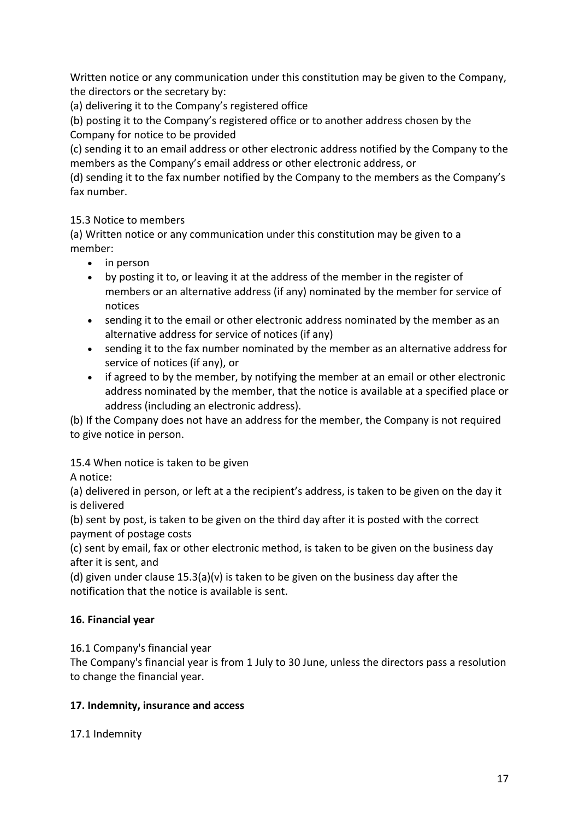Written notice or any communication under this constitution may be given to the Company, the directors or the secretary by:

(a) delivering it to the Company's registered office

(b) posting it to the Company's registered office or to another address chosen by the Company for notice to be provided

(c) sending it to an email address or other electronic address notified by the Company to the members as the Company's email address or other electronic address, or

(d) sending it to the fax number notified by the Company to the members as the Company's fax number.

## 15.3 Notice to members

(a) Written notice or any communication under this constitution may be given to a member:

- in person
- by posting it to, or leaving it at the address of the member in the register of members or an alternative address (if any) nominated by the member for service of notices
- sending it to the email or other electronic address nominated by the member as an alternative address for service of notices (if any)
- sending it to the fax number nominated by the member as an alternative address for service of notices (if any), or
- if agreed to by the member, by notifying the member at an email or other electronic address nominated by the member, that the notice is available at a specified place or address (including an electronic address).

(b) If the Company does not have an address for the member, the Company is not required to give notice in person.

15.4 When notice is taken to be given

A notice:

(a) delivered in person, or left at a the recipient's address, is taken to be given on the day it is delivered

(b) sent by post, is taken to be given on the third day after it is posted with the correct payment of postage costs

(c) sent by email, fax or other electronic method, is taken to be given on the business day after it is sent, and

(d) given under clause 15.3(a)(v) is taken to be given on the business day after the notification that the notice is available is sent.

# **16. Financial year**

16.1 Company's financial year

The Company's financial year is from 1 July to 30 June, unless the directors pass a resolution to change the financial year.

## **17. Indemnity, insurance and access**

17.1 Indemnity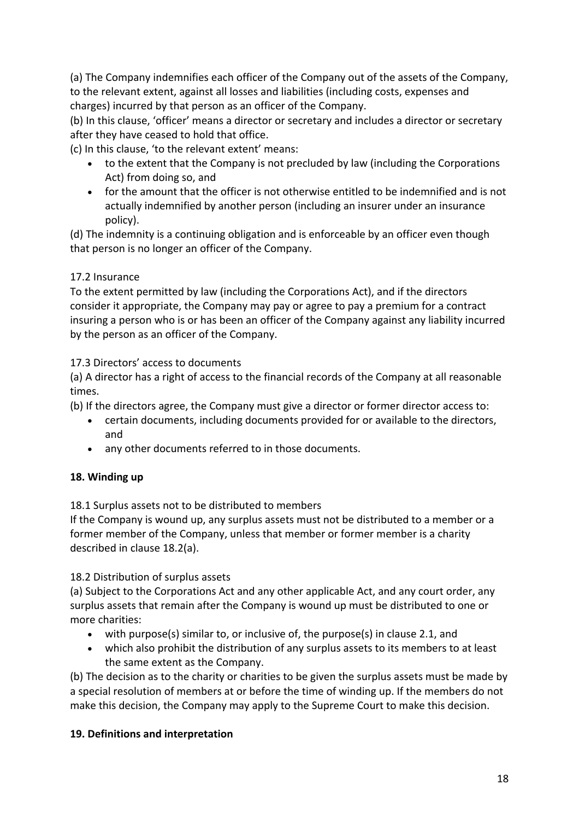(a) The Company indemnifies each officer of the Company out of the assets of the Company, to the relevant extent, against all losses and liabilities (including costs, expenses and charges) incurred by that person as an officer of the Company.

(b) In this clause, 'officer' means a director or secretary and includes a director or secretary after they have ceased to hold that office.

(c) In this clause, 'to the relevant extent' means:

- to the extent that the Company is not precluded by law (including the Corporations Act) from doing so, and
- for the amount that the officer is not otherwise entitled to be indemnified and is not actually indemnified by another person (including an insurer under an insurance policy).

(d) The indemnity is a continuing obligation and is enforceable by an officer even though that person is no longer an officer of the Company.

## 17.2 Insurance

To the extent permitted by law (including the Corporations Act), and if the directors consider it appropriate, the Company may pay or agree to pay a premium for a contract insuring a person who is or has been an officer of the Company against any liability incurred by the person as an officer of the Company.

17.3 Directors' access to documents

(a) A director has a right of access to the financial records of the Company at all reasonable times.

(b) If the directors agree, the Company must give a director or former director access to:

- certain documents, including documents provided for or available to the directors, and
- any other documents referred to in those documents.

## **18. Winding up**

18.1 Surplus assets not to be distributed to members

If the Company is wound up, any surplus assets must not be distributed to a member or a former member of the Company, unless that member or former member is a charity described in clause 18.2(a).

18.2 Distribution of surplus assets

(a) Subject to the Corporations Act and any other applicable Act, and any court order, any surplus assets that remain after the Company is wound up must be distributed to one or more charities:

- with purpose(s) similar to, or inclusive of, the purpose(s) in clause 2.1, and
- which also prohibit the distribution of any surplus assets to its members to at least the same extent as the Company.

(b) The decision as to the charity or charities to be given the surplus assets must be made by a special resolution of members at or before the time of winding up. If the members do not make this decision, the Company may apply to the Supreme Court to make this decision.

## **19. Definitions and interpretation**